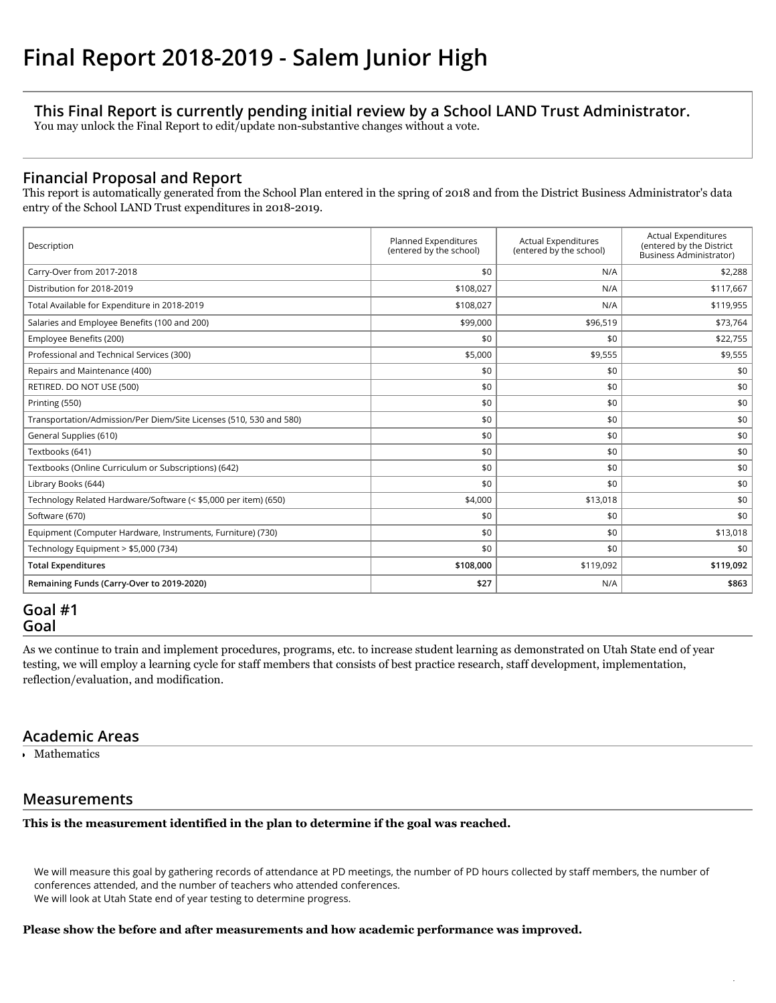# **This Final Report is currently pending initial review by a School LAND Trust Administrator.**

You may unlock the Final Report to edit/update non-substantive changes without a vote.

# **Financial Proposal and Report**

This report is automatically generated from the School Plan entered in the spring of 2018 and from the District Business Administrator's data entry of the School LAND Trust expenditures in 2018-2019.

| Description                                                        | Planned Expenditures<br>(entered by the school) | <b>Actual Expenditures</b><br>(entered by the school) | <b>Actual Expenditures</b><br>(entered by the District<br><b>Business Administrator)</b> |
|--------------------------------------------------------------------|-------------------------------------------------|-------------------------------------------------------|------------------------------------------------------------------------------------------|
| Carry-Over from 2017-2018                                          | \$0                                             | N/A                                                   | \$2,288                                                                                  |
| Distribution for 2018-2019                                         | \$108,027                                       | N/A                                                   | \$117,667                                                                                |
| Total Available for Expenditure in 2018-2019                       | \$108,027                                       | N/A                                                   | \$119,955                                                                                |
| Salaries and Employee Benefits (100 and 200)                       | \$99,000                                        | \$96,519                                              | \$73,764                                                                                 |
| Employee Benefits (200)                                            | \$0                                             | \$0                                                   | \$22,755                                                                                 |
| Professional and Technical Services (300)                          | \$5,000                                         | \$9,555                                               | \$9,555                                                                                  |
| Repairs and Maintenance (400)                                      | \$0                                             | \$0                                                   | \$0                                                                                      |
| RETIRED. DO NOT USE (500)                                          | \$0                                             | \$0                                                   | \$0                                                                                      |
| Printing (550)                                                     | \$0                                             | \$0                                                   | \$0                                                                                      |
| Transportation/Admission/Per Diem/Site Licenses (510, 530 and 580) | \$0                                             | \$0                                                   | \$0                                                                                      |
| General Supplies (610)                                             | \$0                                             | \$0                                                   | \$0                                                                                      |
| Textbooks (641)                                                    | \$0                                             | \$0                                                   | \$0                                                                                      |
| Textbooks (Online Curriculum or Subscriptions) (642)               | \$0                                             | \$0                                                   | \$0                                                                                      |
| Library Books (644)                                                | \$0                                             | \$0                                                   | \$0                                                                                      |
| Technology Related Hardware/Software (< \$5,000 per item) (650)    | \$4,000                                         | \$13,018                                              | \$0                                                                                      |
| Software (670)                                                     | \$0                                             | \$0                                                   | \$0                                                                                      |
| Equipment (Computer Hardware, Instruments, Furniture) (730)        | \$0                                             | \$0                                                   | \$13,018                                                                                 |
| Technology Equipment > \$5,000 (734)                               | \$0                                             | \$0                                                   | \$0                                                                                      |
| <b>Total Expenditures</b>                                          | \$108,000                                       | \$119,092                                             | \$119,092                                                                                |
| Remaining Funds (Carry-Over to 2019-2020)                          | \$27                                            | N/A                                                   | \$863                                                                                    |

# **Goal #1 Goal**

As we continue to train and implement procedures, programs, etc. to increase student learning as demonstrated on Utah State end of year testing, we will employ a learning cycle for staff members that consists of best practice research, staff development, implementation, reflection/evaluation, and modification.

# **Academic Areas**

Mathematics

# **Measurements**

**This is the measurement identified in the plan to determine if the goal was reached.**

We will measure this goal by gathering records of attendance at PD meetings, the number of PD hours collected by staff members, the number of conferences attended, and the number of teachers who attended conferences. We will look at Utah State end of year testing to determine progress.

### **Please show the before and after measurements and how academic performance was improved.**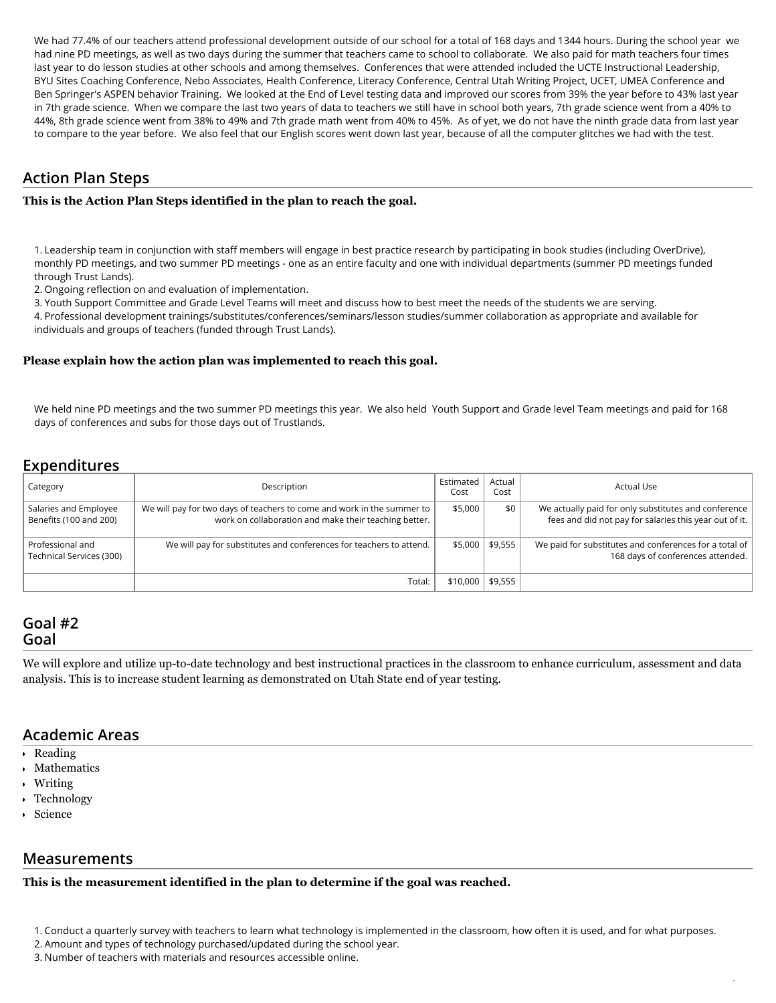We had 77.4% of our teachers attend professional development outside of our school for a total of 168 days and 1344 hours. During the school year we had nine PD meetings, as well as two days during the summer that teachers came to school to collaborate. We also paid for math teachers four times last year to do lesson studies at other schools and among themselves. Conferences that were attended included the UCTE Instructional Leadership, BYU Sites Coaching Conference, Nebo Associates, Health Conference, Literacy Conference, Central Utah Writing Project, UCET, UMEA Conference and Ben Springer's ASPEN behavior Training. We looked at the End of Level testing data and improved our scores from 39% the year before to 43% last year in 7th grade science. When we compare the last two years of data to teachers we still have in school both years, 7th grade science went from a 40% to 44%, 8th grade science went from 38% to 49% and 7th grade math went from 40% to 45%. As of yet, we do not have the ninth grade data from last year to compare to the year before. We also feel that our English scores went down last year, because of all the computer glitches we had with the test.

# **Action Plan Steps**

#### **This is the Action Plan Steps identified in the plan to reach the goal.**

1. Leadership team in conjunction with staff members will engage in best practice research by participating in book studies (including OverDrive), monthly PD meetings, and two summer PD meetings - one as an entire faculty and one with individual departments (summer PD meetings funded through Trust Lands).

2. Ongoing reflection on and evaluation of implementation.

3. Youth Support Committee and Grade Level Teams will meet and discuss how to best meet the needs of the students we are serving.

4. Professional development trainings/substitutes/conferences/seminars/lesson studies/summer collaboration as appropriate and available for individuals and groups of teachers (funded through Trust Lands).

#### **Please explain how the action plan was implemented to reach this goal.**

We held nine PD meetings and the two summer PD meetings this year. We also held Youth Support and Grade level Team meetings and paid for 168 days of conferences and subs for those days out of Trustlands.

## **Expenditures**

| Category                                        | Description                                                                                                                     | Estimated<br>Cost | Actual<br>Cost   | <b>Actual Use</b>                                                                                              |
|-------------------------------------------------|---------------------------------------------------------------------------------------------------------------------------------|-------------------|------------------|----------------------------------------------------------------------------------------------------------------|
| Salaries and Employee<br>Benefits (100 and 200) | We will pay for two days of teachers to come and work in the summer to<br>work on collaboration and make their teaching better. | \$5,000           | \$0              | We actually paid for only substitutes and conference<br>fees and did not pay for salaries this year out of it. |
| Professional and<br>Technical Services (300)    | We will pay for substitutes and conferences for teachers to attend.                                                             |                   | $$5,000$ \$9,555 | We paid for substitutes and conferences for a total of<br>168 days of conferences attended.                    |
|                                                 | Total:                                                                                                                          | \$10,000          | \$9,555          |                                                                                                                |

### **Goal #2 Goal**

We will explore and utilize up-to-date technology and best instructional practices in the classroom to enhance curriculum, assessment and data analysis. This is to increase student learning as demonstrated on Utah State end of year testing.

## **Academic Areas**

- Reading
- Mathematics
- Writing
- Technology
- Science

### **Measurements**

### **This is the measurement identified in the plan to determine if the goal was reached.**

1. Conduct a quarterly survey with teachers to learn what technology is implemented in the classroom, how often it is used, and for what purposes.

/

- 2. Amount and types of technology purchased/updated during the school year.
- 3. Number of teachers with materials and resources accessible online.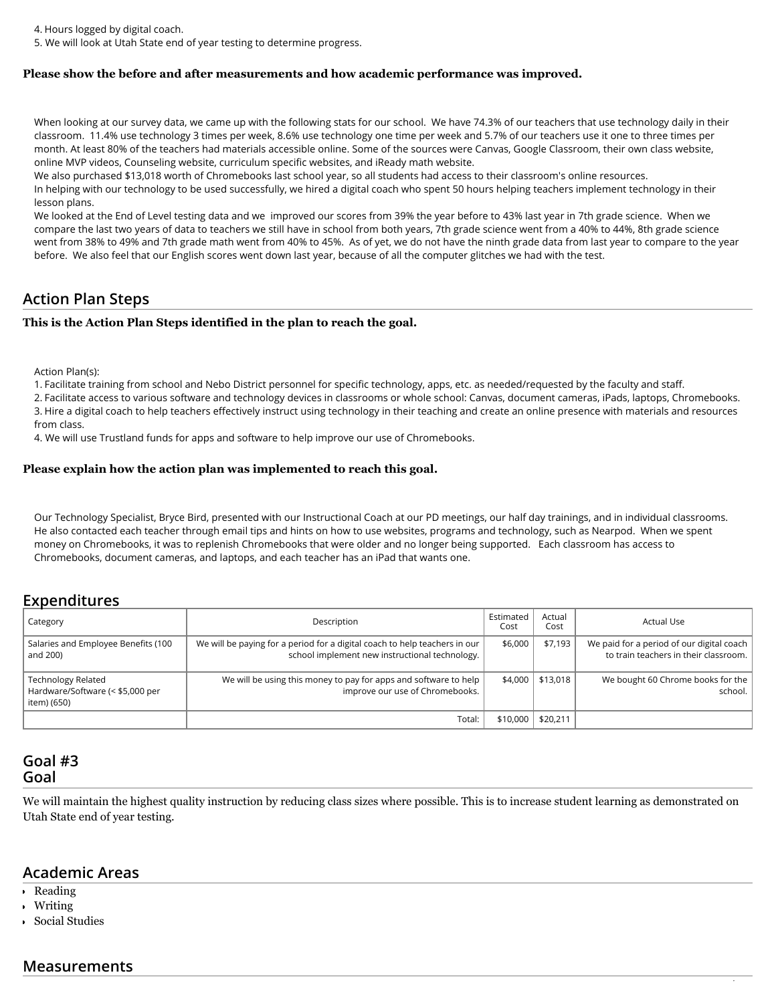4. Hours logged by digital coach.

5. We will look at Utah State end of year testing to determine progress.

#### **Please show the before and after measurements and how academic performance was improved.**

When looking at our survey data, we came up with the following stats for our school. We have 74.3% of our teachers that use technology daily in their classroom. 11.4% use technology 3 times per week, 8.6% use technology one time per week and 5.7% of our teachers use it one to three times per month. At least 80% of the teachers had materials accessible online. Some of the sources were Canvas, Google Classroom, their own class website, online MVP videos, Counseling website, curriculum specific websites, and iReady math website.

We also purchased \$13,018 worth of Chromebooks last school year, so all students had access to their classroom's online resources.

In helping with our technology to be used successfully, we hired a digital coach who spent 50 hours helping teachers implement technology in their lesson plans.

We looked at the End of Level testing data and we improved our scores from 39% the year before to 43% last year in 7th grade science. When we compare the last two years of data to teachers we still have in school from both years, 7th grade science went from a 40% to 44%, 8th grade science went from 38% to 49% and 7th grade math went from 40% to 45%. As of yet, we do not have the ninth grade data from last year to compare to the year before. We also feel that our English scores went down last year, because of all the computer glitches we had with the test.

### **Action Plan Steps**

#### **This is the Action Plan Steps identified in the plan to reach the goal.**

Action Plan(s):

1. Facilitate training from school and Nebo District personnel for specific technology, apps, etc. as needed/requested by the faculty and staff.

2. Facilitate access to various software and technology devices in classrooms or whole school: Canvas, document cameras, iPads, laptops, Chromebooks. 3. Hire a digital coach to help teachers effectively instruct using technology in their teaching and create an online presence with materials and resources from class.

4. We will use Trustland funds for apps and software to help improve our use of Chromebooks.

#### **Please explain how the action plan was implemented to reach this goal.**

Our Technology Specialist, Bryce Bird, presented with our Instructional Coach at our PD meetings, our half day trainings, and in individual classrooms. He also contacted each teacher through email tips and hints on how to use websites, programs and technology, such as Nearpod. When we spent money on Chromebooks, it was to replenish Chromebooks that were older and no longer being supported. Each classroom has access to Chromebooks, document cameras, and laptops, and each teacher has an iPad that wants one.

## **Expenditures**

| Category                                                                     | Description                                                                                                                  | Estimated<br>Cost | Actual<br>Cost | Actual Use                                                                         |
|------------------------------------------------------------------------------|------------------------------------------------------------------------------------------------------------------------------|-------------------|----------------|------------------------------------------------------------------------------------|
| Salaries and Employee Benefits (100<br>and 200)                              | We will be paying for a period for a digital coach to help teachers in our<br>school implement new instructional technology. | \$6,000           | \$7,193        | We paid for a period of our digital coach<br>to train teachers in their classroom. |
| <b>Technology Related</b><br>Hardware/Software (< \$5,000 per<br>item) (650) | We will be using this money to pay for apps and software to help<br>improve our use of Chromebooks.                          | \$4,000           | \$13.018       | We bought 60 Chrome books for the<br>school.                                       |
|                                                                              | Total:                                                                                                                       | \$10,000          | \$20,211       |                                                                                    |

## **Goal #3 Goal**

We will maintain the highest quality instruction by reducing class sizes where possible. This is to increase student learning as demonstrated on Utah State end of year testing.

## **Academic Areas**

- Reading
- Writing
- Social Studies

### **Measurements**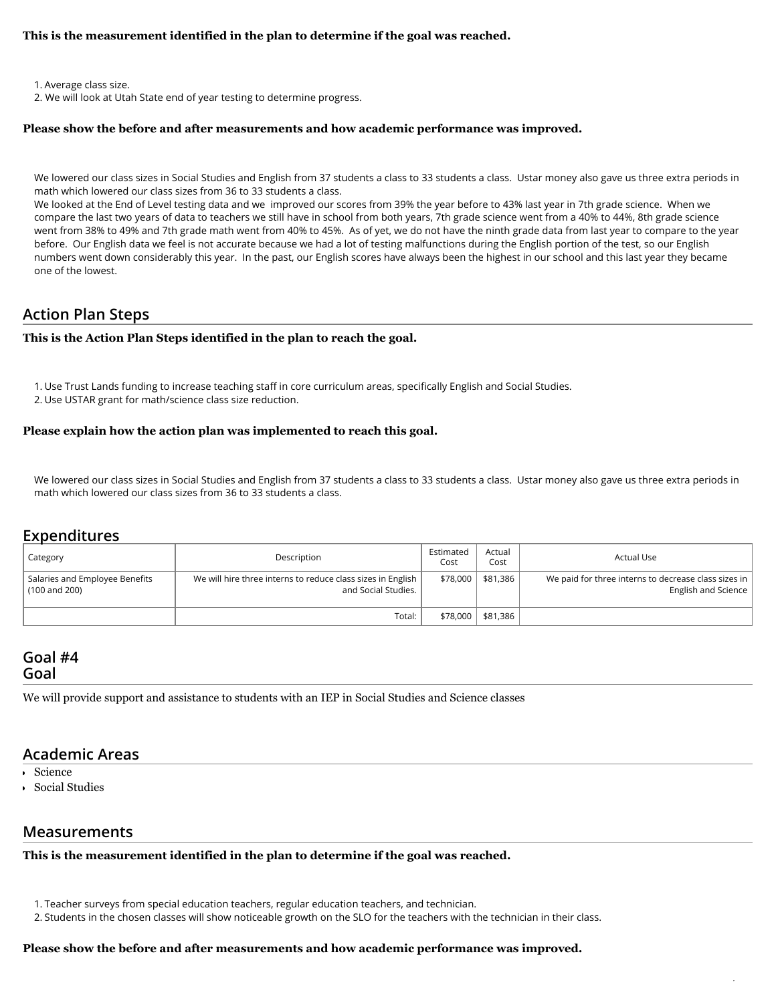#### **This is the measurement identified in the plan to determine if the goal was reached.**

1. Average class size.

2. We will look at Utah State end of year testing to determine progress.

#### **Please show the before and after measurements and how academic performance was improved.**

We lowered our class sizes in Social Studies and English from 37 students a class to 33 students a class. Ustar money also gave us three extra periods in math which lowered our class sizes from 36 to 33 students a class.

We looked at the End of Level testing data and we improved our scores from 39% the year before to 43% last year in 7th grade science. When we compare the last two years of data to teachers we still have in school from both years, 7th grade science went from a 40% to 44%, 8th grade science went from 38% to 49% and 7th grade math went from 40% to 45%. As of yet, we do not have the ninth grade data from last year to compare to the year before. Our English data we feel is not accurate because we had a lot of testing malfunctions during the English portion of the test, so our English numbers went down considerably this year. In the past, our English scores have always been the highest in our school and this last year they became one of the lowest.

## **Action Plan Steps**

#### **This is the Action Plan Steps identified in the plan to reach the goal.**

- 1. Use Trust Lands funding to increase teaching staff in core curriculum areas, specifically English and Social Studies.
- 2. Use USTAR grant for math/science class size reduction.

#### **Please explain how the action plan was implemented to reach this goal.**

We lowered our class sizes in Social Studies and English from 37 students a class to 33 students a class. Ustar money also gave us three extra periods in math which lowered our class sizes from 36 to 33 students a class.

## **Expenditures**

| Category                                        | Description                                                                        | Estimated<br>Cost | Actual<br>Cost         | Actual Use                                                                  |
|-------------------------------------------------|------------------------------------------------------------------------------------|-------------------|------------------------|-----------------------------------------------------------------------------|
| Salaries and Employee Benefits<br>(100 and 200) | We will hire three interns to reduce class sizes in English<br>and Social Studies. | \$78,000          | $\frac{1}{2}$ \$81.386 | We paid for three interns to decrease class sizes in<br>English and Science |
|                                                 | Total:                                                                             |                   | \$78,000 \$81,386      |                                                                             |

### **Goal #4 Goal**

We will provide support and assistance to students with an IEP in Social Studies and Science classes

### **Academic Areas**

- Science
- Social Studies

### **Measurements**

**This is the measurement identified in the plan to determine if the goal was reached.**

/

#### **Please show the before and after measurements and how academic performance was improved.**

<sup>1.</sup> Teacher surveys from special education teachers, regular education teachers, and technician.

<sup>2.</sup> Students in the chosen classes will show noticeable growth on the SLO for the teachers with the technician in their class.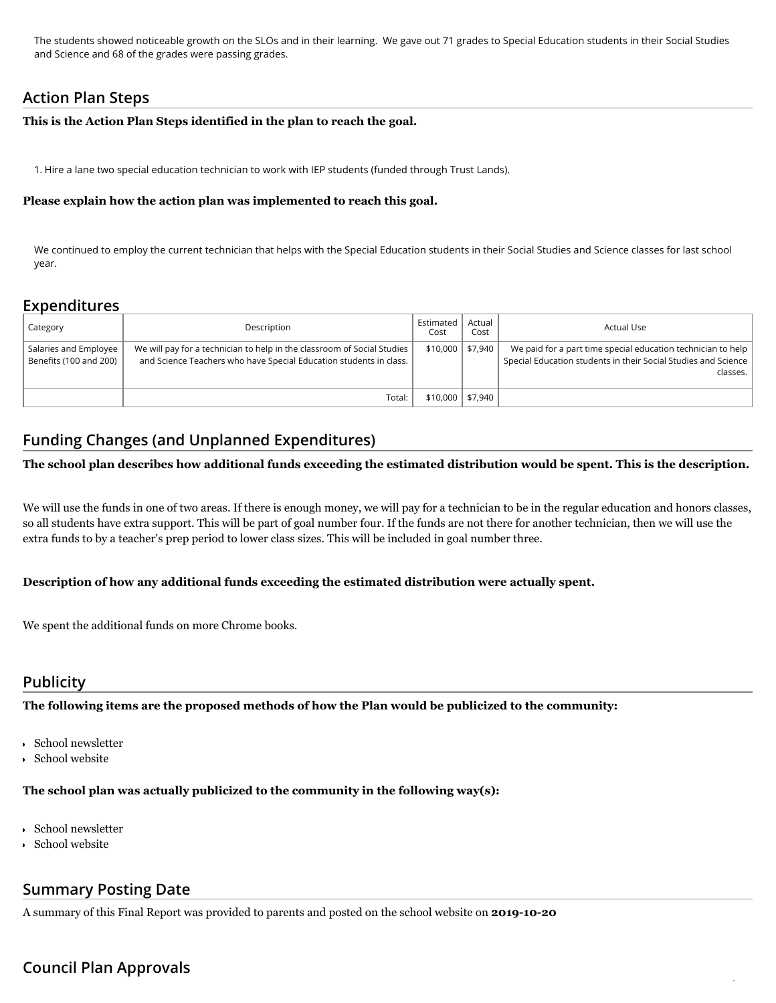The students showed noticeable growth on the SLOs and in their learning. We gave out 71 grades to Special Education students in their Social Studies and Science and 68 of the grades were passing grades.

# **Action Plan Steps**

#### **This is the Action Plan Steps identified in the plan to reach the goal.**

1. Hire a lane two special education technician to work with IEP students (funded through Trust Lands).

#### **Please explain how the action plan was implemented to reach this goal.**

We continued to employ the current technician that helps with the Special Education students in their Social Studies and Science classes for last school year.

# **Expenditures**

| Category                                        | Description                                                                                                                                   | Estimated<br>Cost   | Actual<br>Cost | Actual Use                                                                                                                                 |
|-------------------------------------------------|-----------------------------------------------------------------------------------------------------------------------------------------------|---------------------|----------------|--------------------------------------------------------------------------------------------------------------------------------------------|
| Salaries and Employee<br>Benefits (100 and 200) | We will pay for a technician to help in the classroom of Social Studies<br>and Science Teachers who have Special Education students in class. | $$10,000$   \$7,940 |                | We paid for a part time special education technician to help<br>Special Education students in their Social Studies and Science<br>classes. |
|                                                 | Total:                                                                                                                                        | $$10,000$   \$7,940 |                |                                                                                                                                            |

# **Funding Changes (and Unplanned Expenditures)**

### **The school plan describes how additional funds exceeding the estimated distribution would be spent. This is the description.**

We will use the funds in one of two areas. If there is enough money, we will pay for a technician to be in the regular education and honors classes, so all students have extra support. This will be part of goal number four. If the funds are not there for another technician, then we will use the extra funds to by a teacher's prep period to lower class sizes. This will be included in goal number three.

/

#### **Description of how any additional funds exceeding the estimated distribution were actually spent.**

We spent the additional funds on more Chrome books.

## **Publicity**

**The following items are the proposed methods of how the Plan would be publicized to the community:**

- School newsletter
- School website

### **The school plan was actually publicized to the community in the following way(s):**

- School newsletter
- School website

## **Summary Posting Date**

A summary of this Final Report was provided to parents and posted on the school website on **2019-10-20**

# **Council Plan Approvals**